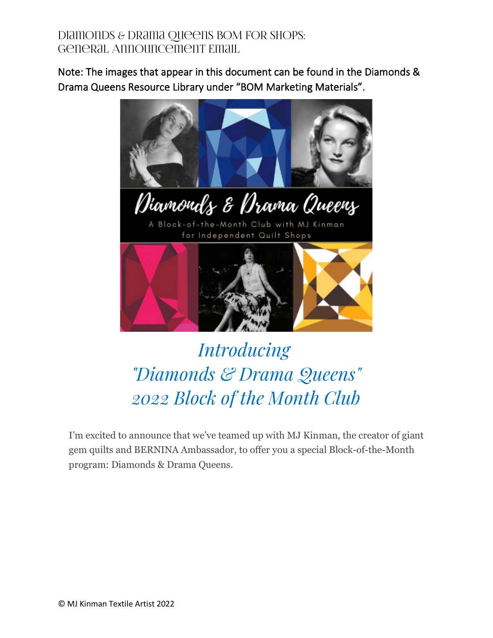Note: The images that appear in this document can be found in the Diamonds & Drama Queens Resource Library under "BOM Marketing Materials".



Diamonds & Drama Queens

A Block-of-the-Month Club with MJ Kinman for Independent Quilt Shops



# *Introducing "Diamonds & Drama Queens" 2022 Block of the Month Club*

I'm excited to announce that we've teamed up with MJ Kinman, the creator of giant gem quilts and BERNINA Ambassador, to offer you a special Block-of-the-Month program: Diamonds & Drama Queens.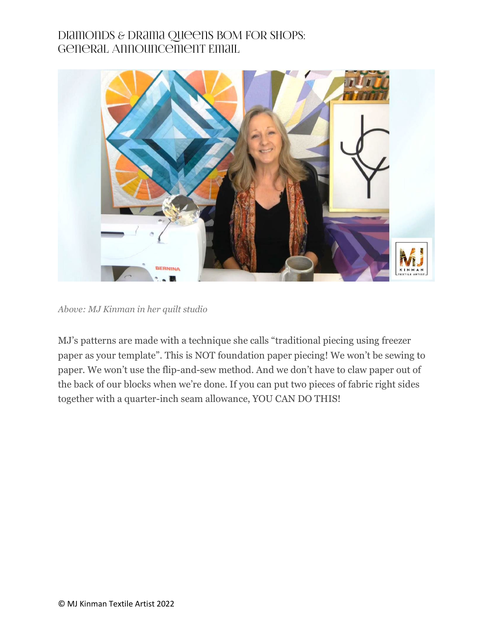

*Above: MJ Kinman in her quilt studio*

MJ's patterns are made with a technique she calls "traditional piecing using freezer paper as your template". This is NOT foundation paper piecing! We won't be sewing to paper. We won't use the flip-and-sew method. And we don't have to claw paper out of the back of our blocks when we're done. If you can put two pieces of fabric right sides together with a quarter-inch seam allowance, YOU CAN DO THIS!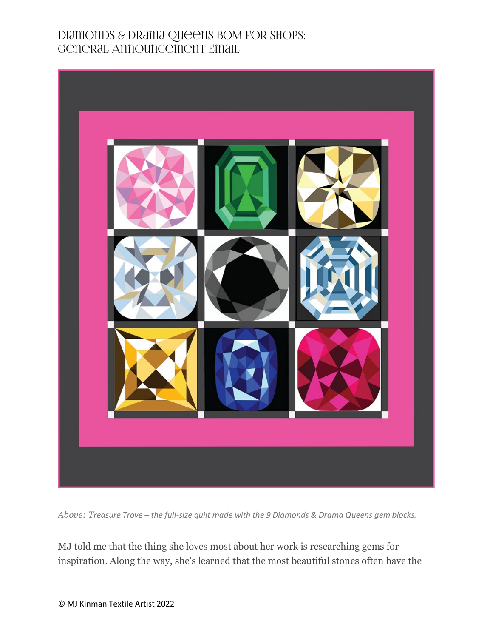

*Above: Treasure Trove – the full-size quilt made with the 9 Diamonds & Drama Queens gem blocks.*

MJ told me that the thing she loves most about her work is researching gems for inspiration. Along the way, she's learned that the most beautiful stones often have the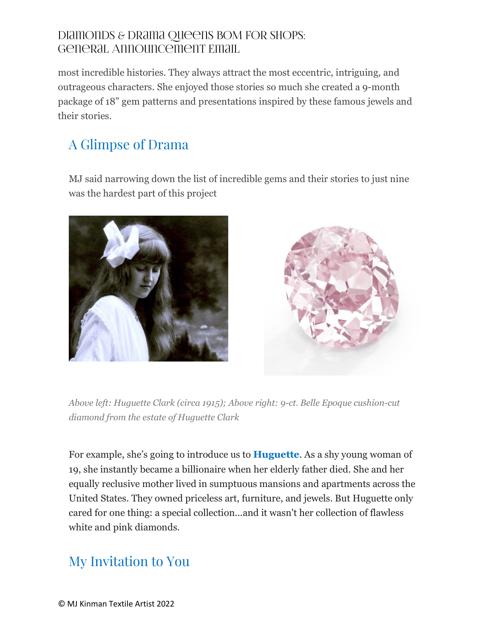most incredible histories. They always attract the most eccentric, intriguing, and outrageous characters. She enjoyed those stories so much she created a 9-month package of 18" gem patterns and presentations inspired by these famous jewels and their stories.

## A Glimpse of Drama

MJ said narrowing down the list of incredible gems and their stories to just nine was the hardest part of this project





*Above left: Huguette Clark (circa 1915); Above right: 9-ct. Belle Epoque cushion-cut diamond from the estate of Huguette Clark*

For example, she's going to introduce us to **Huguette**. As a shy young woman of 19, she instantly became a billionaire when her elderly father died. She and her equally reclusive mother lived in sumptuous mansions and apartments across the United States. They owned priceless art, furniture, and jewels. But Huguette only cared for one thing: a special collection...and it wasn't her collection of flawless white and pink diamonds.

### My Invitation to You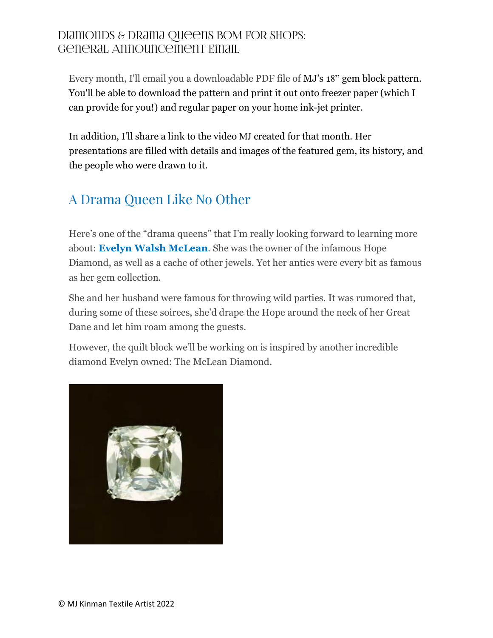Every month, I'll email you a downloadable PDF file of MJ's 18" gem block pattern. You'll be able to download the pattern and print it out onto freezer paper (which I can provide for you!) and regular paper on your home ink-jet printer.

In addition, I'll share a link to the video MJ created for that month. Her presentations are filled with details and images of the featured gem, its history, and the people who were drawn to it.

### A Drama Queen Like No Other

Here's one of the "drama queens" that I'm really looking forward to learning more about: **Evelyn Walsh McLean**. She was the owner of the infamous Hope Diamond, as well as a cache of other jewels. Yet her antics were every bit as famous as her gem collection.

She and her husband were famous for throwing wild parties. It was rumored that, during some of these soirees, she'd drape the Hope around the neck of her Great Dane and let him roam among the guests.

However, the quilt block we'll be working on is inspired by another incredible diamond Evelyn owned: The McLean Diamond.

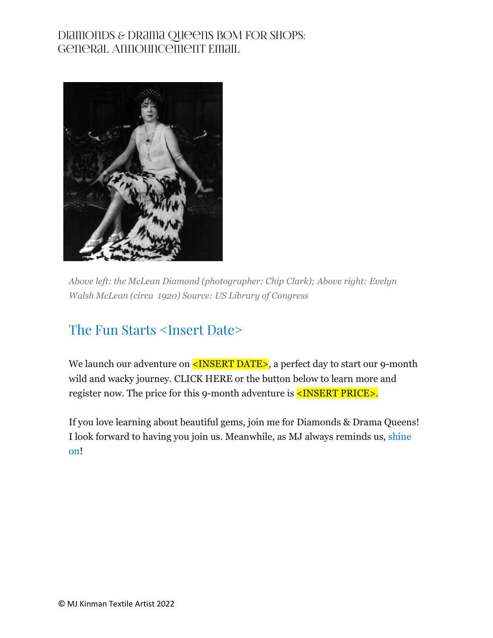

*Above left: the McLean Diamond (photographer: Chip Clark); Above right: Evelyn Walsh McLean (circa 1920) Source: US Library of Congress*

### The Fun Starts <Insert Date>

We launch our adventure on <INSERT DATE>, a perfect day to start our 9-month wild and wacky journey. CLICK HERE or the button below to learn more and register now. The price for this 9-month adventure is **<INSERT PRICE>.** 

If you love learning about beautiful gems, join me for Diamonds & Drama Queens! I look forward to having you join us. Meanwhile, as MJ always reminds us, shine on!